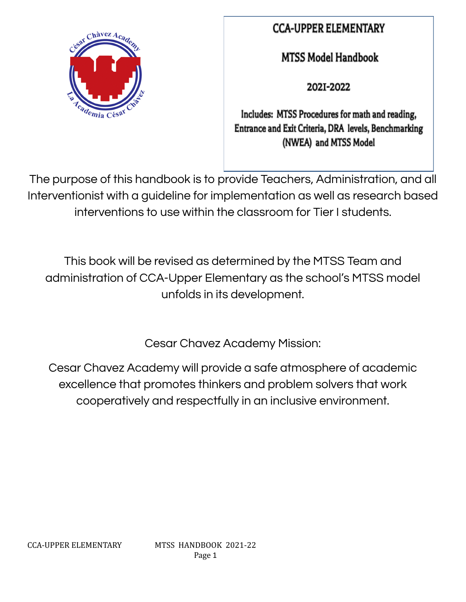

## **CCA-UPPER ELEMENTARY**

**MTSS Model Handbook** 

2021-2022

Includes: MTSS Procedures for math and reading, Entrance and Exit Criteria, DRA levels, Benchmarking (NWEA) and MTSS Model

The purpose of this handbook is to provide Teachers, Administration, and all Interventionist with a guideline for implementation as well as research based interventions to use within the classroom for Tier I students.

This book will be revised as determined by the MTSS Team and administration of CCA-Upper Elementary as the school's MTSS model unfolds in its development.

Cesar Chavez Academy Mission:

Cesar Chavez Academy will provide a safe atmosphere of academic excellence that promotes thinkers and problem solvers that work cooperatively and respectfully in an inclusive environment.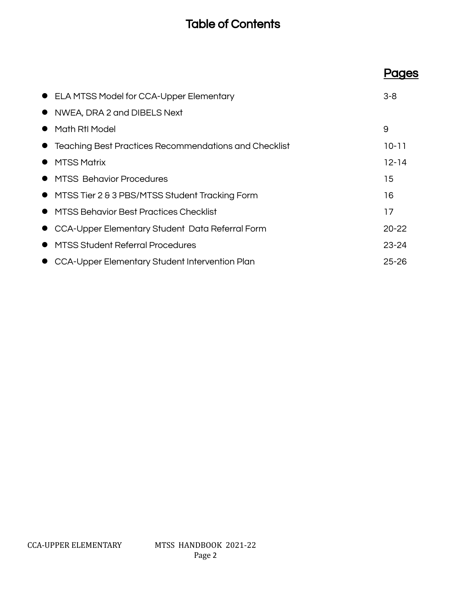## Table of Contents

|           | • ELA MTSS Model for CCA-Upper Elementary               | $3 - 8$   |
|-----------|---------------------------------------------------------|-----------|
|           | • NWEA, DRA 2 and DIBELS Next                           |           |
|           | Math RtI Model                                          | 9         |
|           | • Teaching Best Practices Recommendations and Checklist | $10 - 11$ |
|           | <b>MTSS Matrix</b>                                      | $12 - 14$ |
|           | • MTSS Behavior Procedures                              | 15        |
|           | • MTSS Tier 2 & 3 PBS/MTSS Student Tracking Form        | 16        |
| $\bullet$ | MTSS Behavior Best Practices Checklist                  | 17        |
|           | • CCA-Upper Elementary Student Data Referral Form       | $20 - 22$ |
|           | <b>MTSS Student Referral Procedures</b>                 | $23 - 24$ |
|           | CCA-Upper Elementary Student Intervention Plan          | $25 - 26$ |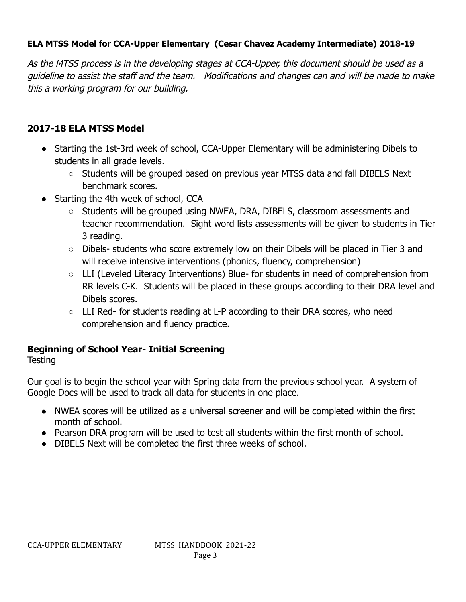### **ELA MTSS Model for CCA-Upper Elementary (Cesar Chavez Academy Intermediate) 2018-19**

As the MTSS process is in the developing stages at CCA-Upper, this document should be used as a guideline to assist the staff and the team. Modifications and changes can and will be made to make this a working program for our building.

### **2017-18 ELA MTSS Model**

- Starting the 1st-3rd week of school, CCA-Upper Elementary will be administering Dibels to students in all grade levels.
	- Students will be grouped based on previous year MTSS data and fall DIBELS Next benchmark scores.
- Starting the 4th week of school, CCA
	- Students will be grouped using NWEA, DRA, DIBELS, classroom assessments and teacher recommendation. Sight word lists assessments will be given to students in Tier 3 reading.
	- Dibels- students who score extremely low on their Dibels will be placed in Tier 3 and will receive intensive interventions (phonics, fluency, comprehension)
	- LLI (Leveled Literacy Interventions) Blue- for students in need of comprehension from RR levels C-K. Students will be placed in these groups according to their DRA level and Dibels scores.
	- $\circ$  LLI Red- for students reading at L-P according to their DRA scores, who need comprehension and fluency practice.

## **Beginning of School Year- Initial Screening**

**Testing** 

Our goal is to begin the school year with Spring data from the previous school year. A system of Google Docs will be used to track all data for students in one place.

- **●** NWEA scores will be utilized as a universal screener and will be completed within the first month of school.
- Pearson DRA program will be used to test all students within the first month of school.
- DIBELS Next will be completed the first three weeks of school.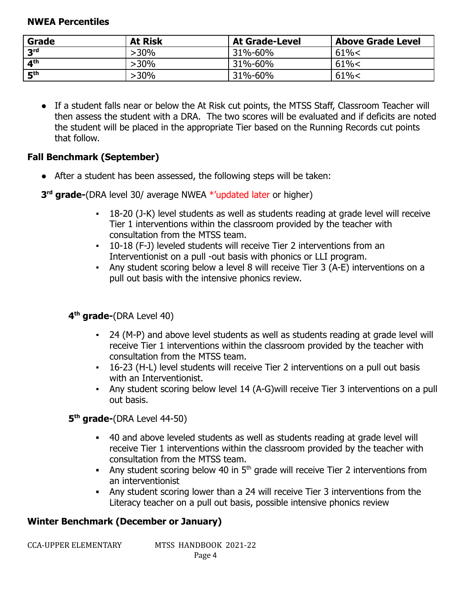#### **NWEA Percentiles**

| <b>At Risk</b><br>Grade  |         | <b>At Grade-Level</b> | <b>Above Grade Level</b> |  |
|--------------------------|---------|-----------------------|--------------------------|--|
| 2rd                      | >30%    | 31%-60%               | 61% <                    |  |
| $\mathbf{A}^{\text{th}}$ | $>30\%$ | 31%-60%               | 61% <                    |  |
| <b>Eth</b>               | $>30\%$ | 31%-60%               | 61% <                    |  |

**●** If a student falls near or below the At Risk cut points, the MTSS Staff, Classroom Teacher will then assess the student with a DRA. The two scores will be evaluated and if deficits are noted the student will be placed in the appropriate Tier based on the Running Records cut points that follow.

## **Fall Benchmark (September)**

• After a student has been assessed, the following steps will be taken:

**3 rd grade-**(DRA level 30/ average NWEA \*'updated later or higher)

- 18-20 (J-K) level students as well as students reading at grade level will receive Tier 1 interventions within the classroom provided by the teacher with consultation from the MTSS team.
- 10-18 (F-J) leveled students will receive Tier 2 interventions from an Interventionist on a pull -out basis with phonics or LLI program.
- Any student scoring below a level 8 will receive Tier 3 (A-E) interventions on a pull out basis with the intensive phonics review.

## **4 th grade-**(DRA Level 40)

- 24 (M-P) and above level students as well as students reading at grade level will receive Tier 1 interventions within the classroom provided by the teacher with consultation from the MTSS team.
- 16-23 (H-L) level students will receive Tier 2 interventions on a pull out basis with an Interventionist.
- Any student scoring below level 14 (A-G)will receive Tier 3 interventions on a pull out basis.

**5 th grade-**(DRA Level 44-50)

- **▪** 40 and above leveled students as well as students reading at grade level will receive Tier 1 interventions within the classroom provided by the teacher with consultation from the MTSS team.
- **■** Any student scoring below 40 in 5<sup>th</sup> grade will receive Tier 2 interventions from an interventionist
- **▪** Any student scoring lower than a 24 will receive Tier 3 interventions from the Literacy teacher on a pull out basis, possible intensive phonics review

## **Winter Benchmark (December or January)**

MTSS HANDBOOK 2021-22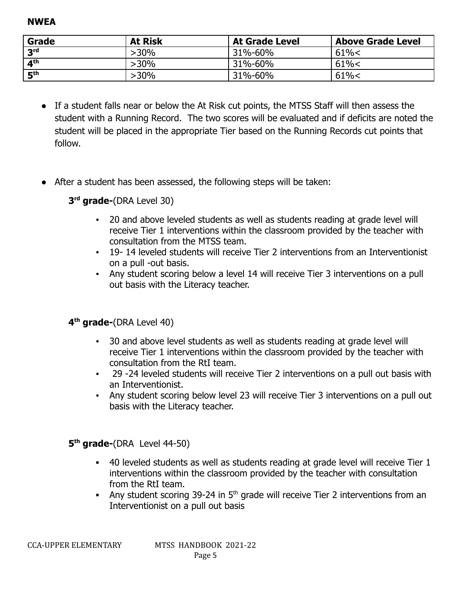**NWEA**

| Grade      | <b>At Risk</b> | <b>At Grade Level</b> | <b>Above Grade Level</b> |  |
|------------|----------------|-----------------------|--------------------------|--|
| <b>2rd</b> | $>30\%$        | 31%-60%               | 61% <                    |  |
| ⊿th        | $>30\%$        | 31%-60%               | 61% <                    |  |
| ⊑th        | >30%           | 31%-60%               | 61% <                    |  |

- If a student falls near or below the At Risk cut points, the MTSS Staff will then assess the student with a Running Record. The two scores will be evaluated and if deficits are noted the student will be placed in the appropriate Tier based on the Running Records cut points that follow.
- After a student has been assessed, the following steps will be taken:
	- **3 rd grade-**(DRA Level 30)
		- 20 and above leveled students as well as students reading at grade level will receive Tier 1 interventions within the classroom provided by the teacher with consultation from the MTSS team.
		- 19- 14 leveled students will receive Tier 2 interventions from an Interventionist on a pull -out basis.
		- Any student scoring below a level 14 will receive Tier 3 interventions on a pull out basis with the Literacy teacher.

**4 th grade-**(DRA Level 40)

- 30 and above level students as well as students reading at grade level will receive Tier 1 interventions within the classroom provided by the teacher with consultation from the RtI team.
- 29 -24 leveled students will receive Tier 2 interventions on a pull out basis with an Interventionist.
- Any student scoring below level 23 will receive Tier 3 interventions on a pull out basis with the Literacy teacher.

**5 th grade-**(DRA Level 44-50)

- **▪** 40 leveled students as well as students reading at grade level will receive Tier 1 interventions within the classroom provided by the teacher with consultation from the RtI team.
- **■** Any student scoring 39-24 in 5<sup>th</sup> grade will receive Tier 2 interventions from an Interventionist on a pull out basis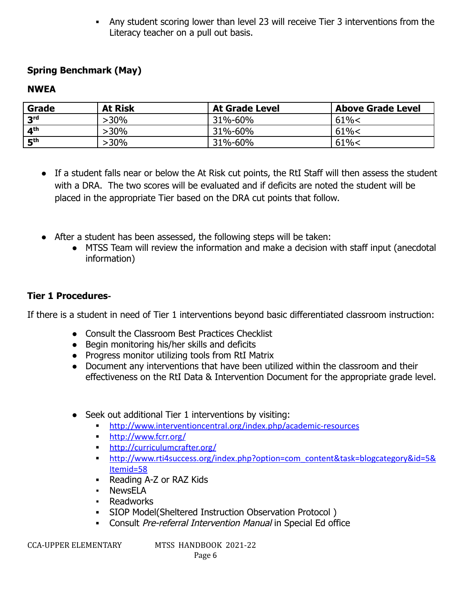**▪** Any student scoring lower than level 23 will receive Tier 3 interventions from the Literacy teacher on a pull out basis.

## **Spring Benchmark (May)**

#### **NWEA**

| <b>At Risk</b><br>Grade |      | <b>At Grade Level</b> | <b>Above Grade Level</b> |  |
|-------------------------|------|-----------------------|--------------------------|--|
| 3 <sup>rd</sup>         | >30% | 31%-60%               | 61% <                    |  |
| 4 <sup>th</sup>         | -30% | 31%-60%               | 61% <                    |  |
| 5 <sup>th</sup>         | -30% | 31%-60%               | 61% <                    |  |

- If a student falls near or below the At Risk cut points, the RtI Staff will then assess the student with a DRA. The two scores will be evaluated and if deficits are noted the student will be placed in the appropriate Tier based on the DRA cut points that follow.
- After a student has been assessed, the following steps will be taken:
	- MTSS Team will review the information and make a decision with staff input (anecdotal information)

#### **Tier 1 Procedures-**

If there is a student in need of Tier 1 interventions beyond basic differentiated classroom instruction:

- Consult the Classroom Best Practices Checklist
- Begin monitoring his/her skills and deficits
- Progress monitor utilizing tools from RtI Matrix
- Document any interventions that have been utilized within the classroom and their effectiveness on the RtI Data & Intervention Document for the appropriate grade level.
- Seek out additional Tier 1 interventions by visiting:
	- **▪** <http://www.interventioncentral.org/index.php/academic-resources>
	- **▪** <http://www.fcrr.org/>
	- **▪** <http://curriculumcrafter.org/>
	- **▪** [http://www.rti4success.org/index.php?option=com\\_content&task=blogcategory&id=5&](http://www.rti4success.org/index.php?option=com_content&task=blogcategory&id=5&Itemid=58) [Itemid=58](http://www.rti4success.org/index.php?option=com_content&task=blogcategory&id=5&Itemid=58)
	- **▪** Reading A-Z or RAZ Kids
	- NewsELA
	- Readworks
	- **▪** SIOP Model(Sheltered Instruction Observation Protocol )
	- **▪** Consult Pre-referral Intervention Manual in Special Ed office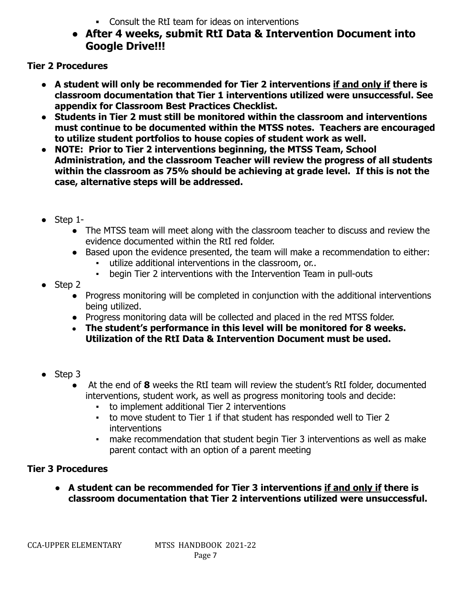- **▪** Consult the RtI team for ideas on interventions
- **After 4 weeks, submit RtI Data & Intervention Document into Google Drive!!!**

**Tier 2 Procedures**

- **● A student will only be recommended for Tier 2 interventions if and only if there is classroom documentation that Tier 1 interventions utilized were unsuccessful. See appendix for Classroom Best Practices Checklist.**
- **● Students in Tier 2 must still be monitored within the classroom and interventions must continue to be documented within the MTSS notes. Teachers are encouraged to utilize student portfolios to house copies of student work as well.**
- **● NOTE: Prior to Tier 2 interventions beginning, the MTSS Team, School Administration, and the classroom Teacher will review the progress of all students within the classroom as 75% should be achieving at grade level. If this is not the case, alternative steps will be addressed.**
- **●** Step 1-
	- The MTSS team will meet along with the classroom teacher to discuss and review the evidence documented within the RtI red folder.
	- Based upon the evidence presented, the team will make a recommendation to either:
		- utilize additional interventions in the classroom, or...
		- begin Tier 2 interventions with the Intervention Team in pull-outs
- $\bullet$  Step 2
	- Progress monitoring will be completed in conjunction with the additional interventions being utilized.
	- Progress monitoring data will be collected and placed in the red MTSS folder.
	- **The student's performance in this level will be monitored for 8 weeks. Utilization of the RtI Data & Intervention Document must be used.**
- Step 3
	- At the end of **8** weeks the RtI team will review the student's RtI folder, documented interventions, student work, as well as progress monitoring tools and decide:
		- to implement additional Tier 2 interventions
		- to move student to Tier 1 if that student has responded well to Tier 2 interventions
		- make recommendation that student begin Tier 3 interventions as well as make parent contact with an option of a parent meeting

## **Tier 3 Procedures**

**● A student can be recommended for Tier 3 interventions if and only if there is classroom documentation that Tier 2 interventions utilized were unsuccessful.**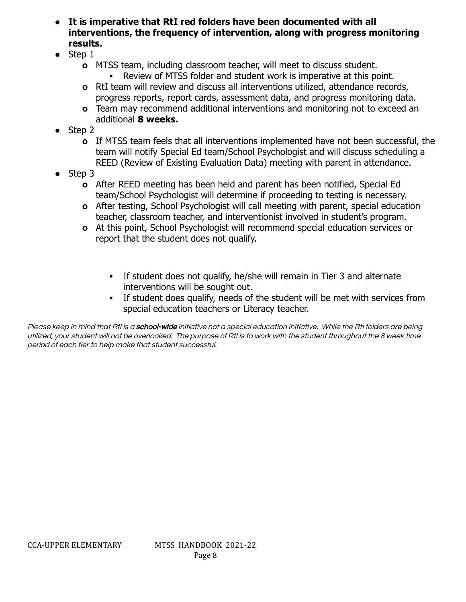- **● It is imperative that RtI red folders have been documented with all interventions, the frequency of intervention, along with progress monitoring results.**
- **●** Step 1
	- **o** MTSS team, including classroom teacher, will meet to discuss student.
		- **▪** Review of MTSS folder and student work is imperative at this point.
	- **o** RtI team will review and discuss all interventions utilized, attendance records, progress reports, report cards, assessment data, and progress monitoring data.
	- **o** Team may recommend additional interventions and monitoring not to exceed an additional **8 weeks.**
- **●** Step 2
	- **o** If MTSS team feels that all interventions implemented have not been successful, the team will notify Special Ed team/School Psychologist and will discuss scheduling a REED (Review of Existing Evaluation Data) meeting with parent in attendance.
- **●** Step 3
	- **o** After REED meeting has been held and parent has been notified, Special Ed team/School Psychologist will determine if proceeding to testing is necessary.
	- **o** After testing, School Psychologist will call meeting with parent, special education teacher, classroom teacher, and interventionist involved in student's program.
	- **o** At this point, School Psychologist will recommend special education services or report that the student does not qualify.
		- **▪** If student does not qualify, he/she will remain in Tier 3 and alternate interventions will be sought out.
		- If student does qualify, needs of the student will be met with services from special education teachers or Literacy teacher.

Please keep in mind that RtI is a school-wide initiative not a special education initiative. While the RtI folders are being utilized, your student will not be overlooked. The purpose of RtI is to work with the student throughout the 8 week time period of each tier to help make that student successful.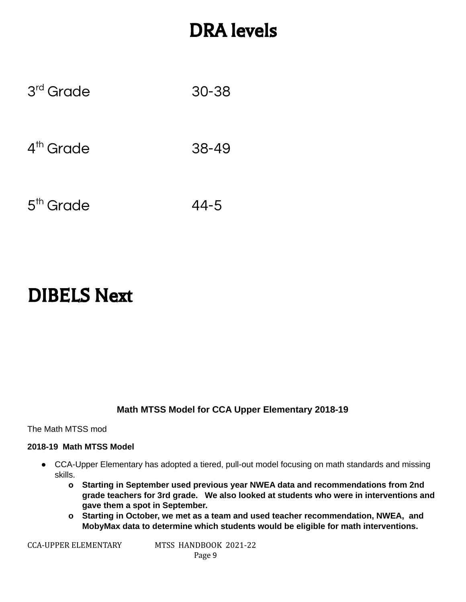# DRA levels

| 3 <sup>rd</sup> Grade | $30 - 38$ |
|-----------------------|-----------|
| $4th$ Grade           | 38-49     |
| 5 <sup>th</sup> Grade | $44 - 5$  |

# DIBELS Next

#### **Math MTSS Model for CCA Upper Elementary 2018-19**

The Math MTSS mod

#### **2018-19 Math MTSS Model**

- **●** CCA-Upper Elementary has adopted a tiered, pull-out model focusing on math standards and missing skills.
	- **o Starting in September used previous year NWEA data and recommendations from 2nd grade teachers for 3rd grade. We also looked at students who were in interventions and gave them a spot in September.**
	- **o Starting in October, we met as a team and used teacher recommendation, NWEA, and MobyMax data to determine which students would be eligible for math interventions.**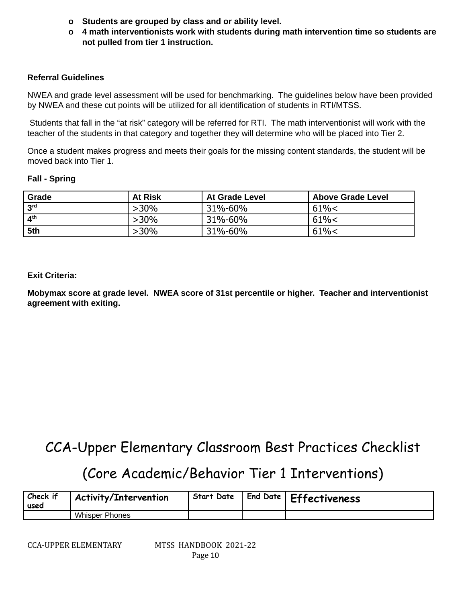- **o Students are grouped by class and or ability level.**
- **o 4 math interventionists work with students during math intervention time so students are not pulled from tier 1 instruction.**

#### **Referral Guidelines**

NWEA and grade level assessment will be used for benchmarking. The guidelines below have been provided by NWEA and these cut points will be utilized for all identification of students in RTI/MTSS.

Students that fall in the "at risk" category will be referred for RTI. The math interventionist will work with the teacher of the students in that category and together they will determine who will be placed into Tier 2.

Once a student makes progress and meets their goals for the missing content standards, the student will be moved back into Tier 1.

#### **Fall - Spring**

| Grade                    | <b>At Risk</b> | <b>At Grade Level</b> | Above Grade Level |
|--------------------------|----------------|-----------------------|-------------------|
| 3 <sup>rd</sup>          | $>30\%$        | 31%-60%               | 61% <             |
| $\mathbf{A}^{\text{th}}$ | $>30\%$        | 31%-60%               | 61% <             |
| 5th                      | $>30\%$        | 31%-60%               | 61% <             |

#### **Exit Criteria:**

**Mobymax score at grade level. NWEA score of 31st percentile or higher. Teacher and interventionist agreement with exiting.**

## CCA-Upper Elementary Classroom Best Practices Checklist

## (Core Academic/Behavior Tier 1 Interventions)

| Check if<br>used | <b>Activity/Intervention</b> | <b>Start Date</b> | End Date   Effectiveness |
|------------------|------------------------------|-------------------|--------------------------|
|                  | <b>Whisper Phones</b>        |                   |                          |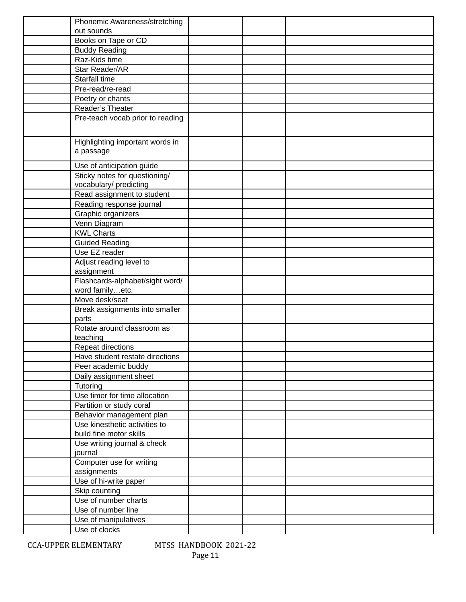| Phonemic Awareness/stretching    |  |  |
|----------------------------------|--|--|
| out sounds                       |  |  |
| Books on Tape or CD              |  |  |
| <b>Buddy Reading</b>             |  |  |
| Raz-Kids time                    |  |  |
| Star Reader/AR                   |  |  |
| Starfall time                    |  |  |
| Pre-read/re-read                 |  |  |
| Poetry or chants                 |  |  |
| Reader's Theater                 |  |  |
| Pre-teach vocab prior to reading |  |  |
|                                  |  |  |
|                                  |  |  |
| Highlighting important words in  |  |  |
| a passage                        |  |  |
| Use of anticipation guide        |  |  |
| Sticky notes for questioning/    |  |  |
| vocabulary/ predicting           |  |  |
| Read assignment to student       |  |  |
| Reading response journal         |  |  |
| Graphic organizers               |  |  |
| Venn Diagram                     |  |  |
| <b>KWL Charts</b>                |  |  |
| <b>Guided Reading</b>            |  |  |
| Use EZ reader                    |  |  |
| Adjust reading level to          |  |  |
| assignment                       |  |  |
| Flashcards-alphabet/sight word/  |  |  |
| word familyetc.                  |  |  |
| Move desk/seat                   |  |  |
| Break assignments into smaller   |  |  |
| parts                            |  |  |
| Rotate around classroom as       |  |  |
| teaching                         |  |  |
| Repeat directions                |  |  |
| Have student restate directions  |  |  |
| Peer academic buddy              |  |  |
| Daily assignment sheet           |  |  |
| Tutoring                         |  |  |
| Use timer for time allocation    |  |  |
| Partition or study coral         |  |  |
| Behavior management plan         |  |  |
| Use kinesthetic activities to    |  |  |
| build fine motor skills          |  |  |
| Use writing journal & check      |  |  |
| journal                          |  |  |
| Computer use for writing         |  |  |
| assignments                      |  |  |
| Use of hi-write paper            |  |  |
| Skip counting                    |  |  |
| Use of number charts             |  |  |
| Use of number line               |  |  |
| Use of manipulatives             |  |  |
| Use of clocks                    |  |  |
|                                  |  |  |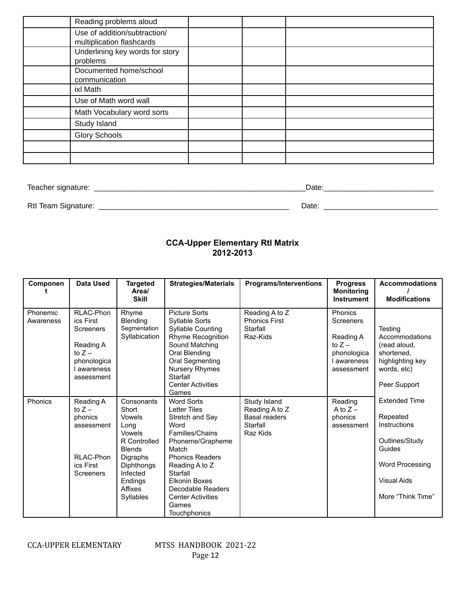| Reading problems aloud                                    |  |  |
|-----------------------------------------------------------|--|--|
| Use of addition/subtraction/<br>multiplication flashcards |  |  |
| Underlining key words for story<br>problems               |  |  |
| Documented home/school<br>communication                   |  |  |
| ixl Math                                                  |  |  |
| Use of Math word wall                                     |  |  |
| Math Vocabulary word sorts                                |  |  |
| Study Island                                              |  |  |
| <b>Glory Schools</b>                                      |  |  |
|                                                           |  |  |
|                                                           |  |  |

Teacher signature: \_\_\_\_\_\_\_\_\_\_\_\_\_\_\_\_\_\_\_\_\_\_\_\_\_\_\_\_\_\_\_\_\_\_\_\_\_\_\_\_\_\_\_\_\_\_\_\_\_\_Date:\_\_\_\_\_\_\_\_\_\_\_\_\_\_\_\_\_\_\_\_\_\_\_\_\_\_

RtI Team Signature: \_\_\_\_\_\_\_\_\_\_\_\_\_\_\_\_\_\_\_\_\_\_\_\_\_\_\_\_\_\_\_\_\_\_\_\_\_\_\_\_\_\_\_\_\_ Date: \_\_\_\_\_\_\_\_\_\_\_\_\_\_\_\_\_\_\_\_\_\_\_\_\_\_\_

#### **CCA-Upper Elementary RtI Matrix 2012-2013**

| Componen              | Data Used                                                                                                     | <b>Targeted</b><br>Area/<br><b>Skill</b>                                                                                                                         | <b>Strategies/Materials</b>                                                                                                                                                                                                                                                   | <b>Programs/Interventions</b>                                                  | <b>Progress</b><br><b>Monitoring</b><br><b>Instrument</b>                                               | <b>Accommodations</b><br><b>Modifications</b>                                                                                              |
|-----------------------|---------------------------------------------------------------------------------------------------------------|------------------------------------------------------------------------------------------------------------------------------------------------------------------|-------------------------------------------------------------------------------------------------------------------------------------------------------------------------------------------------------------------------------------------------------------------------------|--------------------------------------------------------------------------------|---------------------------------------------------------------------------------------------------------|--------------------------------------------------------------------------------------------------------------------------------------------|
| Phonemic<br>Awareness | RLAC-Phon<br>ics First<br><b>Screeners</b><br>Reading A<br>to $Z -$<br>phonologica<br>awareness<br>assessment | Rhyme<br><b>Blending</b><br>Segmentation<br>Syllabication                                                                                                        | <b>Picture Sorts</b><br>Syllable Sorts<br><b>Syllable Counting</b><br>Rhyme Recognition<br>Sound Matching<br>Oral Blending<br>Oral Segmenting<br><b>Nursery Rhymes</b><br>Starfall<br><b>Center Activities</b><br>Games                                                       | Reading A to Z<br><b>Phonics First</b><br>Starfall<br>Raz-Kids                 | <b>Phonics</b><br><b>Screeners</b><br>Reading A<br>to $Z -$<br>phonologica<br>I awareness<br>assessment | Testing<br>Accommodations<br>(read aloud,<br>shortened,<br>highlighting key<br>words, etc)<br>Peer Support                                 |
| Phonics               | Reading A<br>to $Z -$<br>phonics<br>assessment<br>RLAC-Phon<br>ics First<br><b>Screeners</b>                  | Consonants<br>Short<br>Vowels<br>Long<br>Vowels<br>R Controlled<br><b>Blends</b><br>Digraphs<br>Diphthongs<br>Infected<br>Endings<br>Affixes<br><b>Syllables</b> | <b>Word Sorts</b><br><b>Letter Tiles</b><br>Stretch and Say<br>Word<br>Families/Chains<br>Phoneme/Grapheme<br>Match<br><b>Phonics Readers</b><br>Reading A to Z<br>Starfall<br><b>Elkonin Boxes</b><br>Decodable Readers<br><b>Center Activities</b><br>Games<br>Touchphonics | Study Island<br>Reading A to Z<br><b>Basal readers</b><br>Starfall<br>Raz Kids | Reading<br>A to $Z -$<br>phonics<br>assessment                                                          | <b>Extended Time</b><br>Repeated<br>Instructions<br>Outlines/Study<br>Guides<br>Word Processing<br><b>Visual Aids</b><br>More "Think Time" |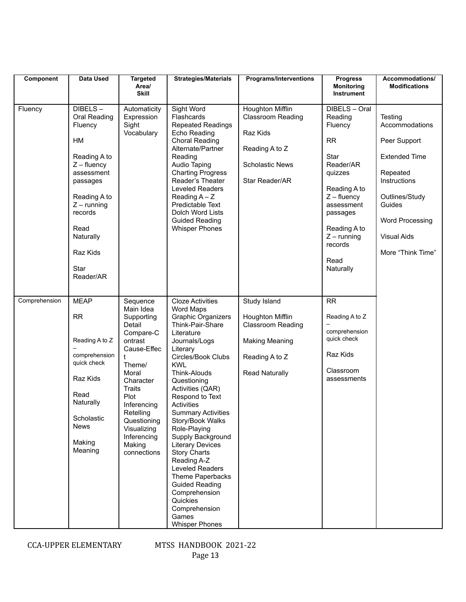| Component     | <b>Data Used</b>                                                                                                                                                                                                | <b>Targeted</b><br>Area/<br><b>Skill</b>                                                                                                                                                                                                             | <b>Strategies/Materials</b>                                                                                                                                                                                                                                                                                                                                                                                                                                                                                                                              | <b>Programs/Interventions</b>                                                                                                    | <b>Progress</b><br><b>Monitoring</b><br>Instrument                                                                                                                                                    | Accommodations/<br><b>Modifications</b>                                                                                                                                                 |
|---------------|-----------------------------------------------------------------------------------------------------------------------------------------------------------------------------------------------------------------|------------------------------------------------------------------------------------------------------------------------------------------------------------------------------------------------------------------------------------------------------|----------------------------------------------------------------------------------------------------------------------------------------------------------------------------------------------------------------------------------------------------------------------------------------------------------------------------------------------------------------------------------------------------------------------------------------------------------------------------------------------------------------------------------------------------------|----------------------------------------------------------------------------------------------------------------------------------|-------------------------------------------------------------------------------------------------------------------------------------------------------------------------------------------------------|-----------------------------------------------------------------------------------------------------------------------------------------------------------------------------------------|
| Fluency       | $DIBELS -$<br>Oral Reading<br>Fluency<br><b>HM</b><br>Reading A to<br>$Z$ – fluency<br>assessment<br>passages<br>Reading A to<br>$Z$ – running<br>records<br>Read<br>Naturally<br>Raz Kids<br>Star<br>Reader/AR | Automaticity<br>Expression<br>Sight<br>Vocabulary                                                                                                                                                                                                    | Sight Word<br>Flashcards<br><b>Repeated Readings</b><br>Echo Reading<br>Choral Reading<br>Alternate/Partner<br>Reading<br>Audio Taping<br><b>Charting Progress</b><br>Reader's Theater<br>Leveled Readers<br>Reading $A - Z$<br>Predictable Text<br>Dolch Word Lists<br><b>Guided Reading</b><br><b>Whisper Phones</b>                                                                                                                                                                                                                                   | Houghton Mifflin<br><b>Classroom Reading</b><br>Raz Kids<br>Reading A to Z<br><b>Scholastic News</b><br>Star Reader/AR           | DIBELS - Oral<br>Reading<br>Fluency<br>RR<br>Star<br>Reader/AR<br>quizzes<br>Reading A to<br>$Z$ – fluency<br>assessment<br>passages<br>Reading A to<br>$Z$ – running<br>records<br>Read<br>Naturally | Testing<br>Accommodations<br>Peer Support<br><b>Extended Time</b><br>Repeated<br>Instructions<br>Outlines/Study<br>Guides<br>Word Processing<br><b>Visual Aids</b><br>More "Think Time" |
| Comprehension | <b>MEAP</b><br><b>RR</b><br>Reading A to Z<br>comprehension<br>quick check<br>Raz Kids<br>Read<br>Naturally<br>Scholastic<br><b>News</b><br>Making<br>Meaning                                                   | Sequence<br>Main Idea<br>Supporting<br>Detail<br>Compare-C<br>ontrast<br>Cause-Effec<br>t<br>Theme/<br>Moral<br>Character<br><b>Traits</b><br>Plot<br>Inferencing<br>Retelling<br>Questioning<br>Visualizing<br>Inferencing<br>Making<br>connections | <b>Cloze Activities</b><br>Word Maps<br><b>Graphic Organizers</b><br>Think-Pair-Share<br>Literature<br>Journals/Logs<br>Literary<br>Circles/Book Clubs<br><b>KWL</b><br>Think-Alouds<br>Questioning<br>Activities (QAR)<br>Respond to Text<br>Activities<br><b>Summary Activities</b><br>Story/Book Walks<br>Role-Playing<br>Supply Background<br><b>Literary Devices</b><br><b>Story Charts</b><br>Reading A-Z<br>Leveled Readers<br>Theme Paperbacks<br><b>Guided Reading</b><br>Comprehension<br>Quickies<br>Comprehension<br>Games<br>Whisper Phones | Study Island<br>Houghton Mifflin<br><b>Classroom Reading</b><br><b>Making Meaning</b><br>Reading A to Z<br><b>Read Naturally</b> | <b>RR</b><br>Reading A to Z<br>comprehension<br>quick check<br>Raz Kids<br>Classroom<br>assessments                                                                                                   |                                                                                                                                                                                         |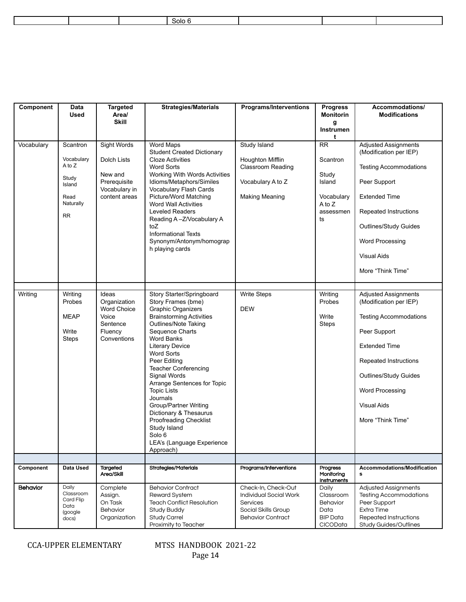|  | $\cdot$         |  |  |
|--|-----------------|--|--|
|  | $\sim$<br>ാധ്യം |  |  |
|  |                 |  |  |

| Component       | Data<br>Used                                                                          | <b>Targeted</b><br>Area/<br><b>Skill</b>                                                   | <b>Strategies/Materials</b>                                                                                                                                                                                                                                                                                                                                                                                                                                                                                             | <b>Programs/Interventions</b>                                                                                       | <b>Progress</b><br><b>Monitorin</b><br>g<br>Instrumen                             | Accommodations/<br><b>Modifications</b>                                                                                                                                                                                                        |
|-----------------|---------------------------------------------------------------------------------------|--------------------------------------------------------------------------------------------|-------------------------------------------------------------------------------------------------------------------------------------------------------------------------------------------------------------------------------------------------------------------------------------------------------------------------------------------------------------------------------------------------------------------------------------------------------------------------------------------------------------------------|---------------------------------------------------------------------------------------------------------------------|-----------------------------------------------------------------------------------|------------------------------------------------------------------------------------------------------------------------------------------------------------------------------------------------------------------------------------------------|
| Vocabulary      | Scantron<br>Vocabulary<br>A to Z<br>Study<br>Island<br>Read<br>Naturally<br><b>RR</b> | Sight Words<br>Dolch Lists<br>New and<br>Prerequisite<br>Vocabulary in<br>content areas    | Word Maps<br><b>Student Created Dictionary</b><br><b>Cloze Activities</b><br><b>Word Sorts</b><br>Working With Words Activities<br>Idioms/Metaphors/Similes<br>Vocabulary Flash Cards<br>Picture/Word Matching<br><b>Word Wall Activities</b><br><b>Leveled Readers</b><br>Reading A-Z/Vocabulary A<br>toZ<br><b>Informational Texts</b><br>Synonym/Antonym/homograp<br>h playing cards                                                                                                                                 | Study Island<br>Houghton Mifflin<br>Classroom Reading<br>Vocabulary A to Z<br><b>Making Meaning</b>                 | t<br>RR<br>Scantron<br>Study<br>Island<br>Vocabulary<br>A to Z<br>assessmen<br>ts | <b>Adjusted Assignments</b><br>(Modification per IEP)<br><b>Testing Accommodations</b><br>Peer Support<br><b>Extended Time</b><br>Repeated Instructions<br>Outlines/Study Guides<br>Word Processing<br><b>Visual Aids</b><br>More "Think Time" |
| Writing         | Writing<br>Probes<br><b>MEAP</b><br>Write<br><b>Steps</b>                             | Ideas<br>Organization<br><b>Word Choice</b><br>Voice<br>Sentence<br>Fluency<br>Conventions | Story Starter/Springboard<br>Story Frames (bme)<br><b>Graphic Organizers</b><br><b>Brainstorming Activities</b><br>Outlines/Note Taking<br>Sequence Charts<br><b>Word Banks</b><br><b>Literary Device</b><br><b>Word Sorts</b><br>Peer Editing<br><b>Teacher Conferencing</b><br>Signal Words<br>Arrange Sentences for Topic<br><b>Topic Lists</b><br>Journals<br><b>Group/Partner Writing</b><br>Dictionary & Thesaurus<br>Proofreading Checklist<br>Study Island<br>Solo 6<br>LEA's (Language Experience<br>Approach) | <b>Write Steps</b><br><b>DEW</b>                                                                                    | Writing<br>Probes<br>Write<br><b>Steps</b>                                        | <b>Adjusted Assignments</b><br>(Modification per IEP)<br><b>Testing Accommodations</b><br>Peer Support<br><b>Extended Time</b><br>Repeated Instructions<br>Outlines/Study Guides<br>Word Processing<br><b>Visual Aids</b><br>More "Think Time" |
| Component       | Data Used                                                                             | Targeted                                                                                   | Strategies/Materials                                                                                                                                                                                                                                                                                                                                                                                                                                                                                                    | Programs/Interventions                                                                                              | Progress                                                                          | <b>Accommodations/Modification</b>                                                                                                                                                                                                             |
|                 |                                                                                       | Area/Skill                                                                                 |                                                                                                                                                                                                                                                                                                                                                                                                                                                                                                                         |                                                                                                                     | Monitoring<br><b>Instruments</b>                                                  | s                                                                                                                                                                                                                                              |
| <b>Behavior</b> | Daily<br>Classroom<br>Card Flip<br>Data<br>(google<br>docs)                           | Complete<br>Assign.<br>On Task<br>Behavior<br>Organization                                 | <b>Behavior Contract</b><br><b>Reward System</b><br><b>Teach Conflict Resolution</b><br><b>Study Buddy</b><br><b>Study Carrel</b><br>Proximity to Teacher                                                                                                                                                                                                                                                                                                                                                               | Check-In, Check-Out<br>Individual Social Work<br><b>Services</b><br>Social Skills Group<br><b>Behavior Contract</b> | Daily<br>Classroom<br>Behavior<br>Data<br><b>BIP Data</b><br>CICOData             | Adjusted Assignments<br><b>Testing Accommodations</b><br>Peer Support<br>Extra Time<br>Repeated Instructions<br>Study Guides/Outlines                                                                                                          |

CCA-UPPER ELEMENTARY MTSS HANDBOOK 2021-22

Page 14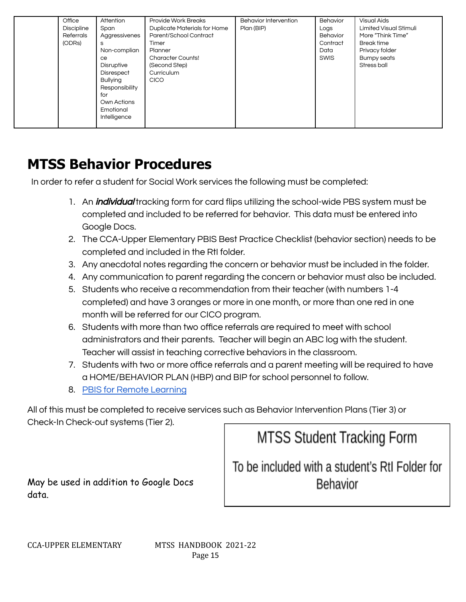| Office<br>Attention<br><b>Discipline</b><br>Span<br>Referrals<br>Aggressivenes<br>(ODRs)<br>s<br>Non-complian<br>ce.<br><b>Disruptive</b><br><b>Disrespect</b><br><b>Bullying</b><br>Responsibility<br>for<br>Own Actions<br>Emotional<br>Intelligence | <b>Provide Work Breaks</b><br><b>Duplicate Materials for Home</b><br>Parent/School Contract<br>Timer<br>Planner<br><b>Character Counts!</b><br>(Second Step)<br>Curriculum<br><b>CICO</b> | <b>Behavior Intervention</b><br>Plan (BIP) | Behavior<br>Logs<br>Behavior<br>Contract<br>Data<br>SWIS | <b>Visual Aids</b><br>Limited Visual Stimuli<br>More "Think Time"<br><b>Break time</b><br>Privacy folder<br><b>Bumpy seats</b><br>Stress ball |
|--------------------------------------------------------------------------------------------------------------------------------------------------------------------------------------------------------------------------------------------------------|-------------------------------------------------------------------------------------------------------------------------------------------------------------------------------------------|--------------------------------------------|----------------------------------------------------------|-----------------------------------------------------------------------------------------------------------------------------------------------|
|--------------------------------------------------------------------------------------------------------------------------------------------------------------------------------------------------------------------------------------------------------|-------------------------------------------------------------------------------------------------------------------------------------------------------------------------------------------|--------------------------------------------|----------------------------------------------------------|-----------------------------------------------------------------------------------------------------------------------------------------------|

## **MTSS Behavior Procedures**

In order to refer a student for Social Work services the following must be completed:

- 1. An *individual* tracking form for card flips utilizing the school-wide PBS system must be completed and included to be referred for behavior. This data must be entered into Google Docs.
- 2. The CCA-Upper Elementary PBIS Best Practice Checklist (behavior section) needs to be completed and included in the RtI folder.
- 3. Any anecdotal notes regarding the concern or behavior must be included in the folder.
- 4. Any communication to parent regarding the concern or behavior must also be included.
- 5. Students who receive a recommendation from their teacher (with numbers 1-4 completed) and have 3 oranges or more in one month, or more than one red in one month will be referred for our CICO program.
- 6. Students with more than two office referrals are required to meet with school administrators and their parents. Teacher will begin an ABC log with the student. Teacher will assist in teaching corrective behaviors in the classroom.
- 7. Students with two or more office referrals and a parent meeting will be required to have a HOME/BEHAVIOR PLAN (HBP) and BIP for school personnel to follow.
- 8. PBIS for Remote [Learning](https://docs.google.com/document/d/1fmj4ikzMmObSD4jFvbB5YsBWHcT0A4rQEYjPHDb-kdI/edit)

All of this must be completed to receive services such as Behavior Intervention Plans (Tier 3) or Check-In Check-out systems (Tier 2).

**MTSS Student Tracking Form** 

May be used in addition to Google Docs data.

To be included with a student's RtI Folder for Behavior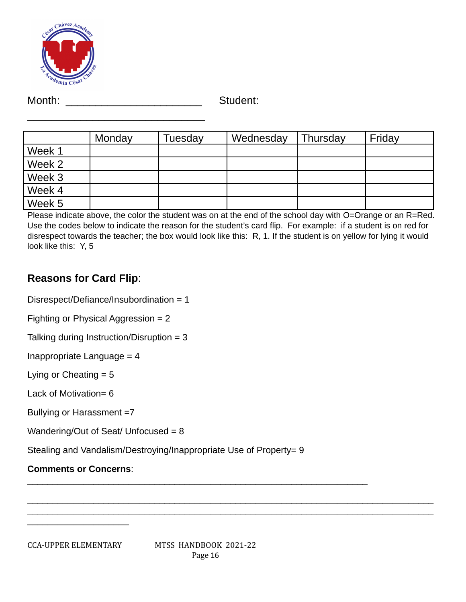

Month: \_\_\_\_\_\_\_\_\_\_\_\_\_\_\_\_\_\_\_\_\_\_\_\_\_\_\_\_\_\_\_\_\_\_ Student:

|        | Monday | Tuesday | Wednesday | Thursday | Friday |
|--------|--------|---------|-----------|----------|--------|
| Week 1 |        |         |           |          |        |
| Week 2 |        |         |           |          |        |
| Week 3 |        |         |           |          |        |
| Week 4 |        |         |           |          |        |
| Week 5 |        |         |           |          |        |

Please indicate above, the color the student was on at the end of the school day with O=Orange or an R=Red. Use the codes below to indicate the reason for the student's card flip. For example: if a student is on red for disrespect towards the teacher; the box would look like this: R, 1. If the student is on yellow for lying it would look like this: Y, 5

## **Reasons for Card Flip**:

Disrespect/Defiance/Insubordination = 1

 $\mathcal{L}=\{1,2,3,4,5\}$ 

Fighting or Physical Aggression = 2

```
Talking during Instruction/Disruption = 3
```
Inappropriate Language = 4

Lying or Cheating  $= 5$ 

Lack of Motivation= 6

Bullying or Harassment =7

Wandering/Out of Seat/ Unfocused = 8

Stealing and Vandalism/Destroying/Inappropriate Use of Property= 9

## **Comments or Concerns**:

 $\overline{\phantom{a}}$  , which is a set of the set of the set of the set of the set of the set of the set of the set of the set of the set of the set of the set of the set of the set of the set of the set of the set of the set of th

\_\_\_\_\_\_\_\_\_\_\_\_\_\_\_\_\_\_\_\_\_\_\_\_\_\_\_\_\_\_\_\_\_\_\_\_\_\_\_\_\_\_\_\_\_\_\_\_\_\_\_\_\_\_\_\_\_\_\_\_\_\_\_\_\_\_\_\_\_\_\_\_\_\_\_\_\_\_\_\_ \_\_\_\_\_\_\_\_\_\_\_\_\_\_\_\_\_\_\_\_\_\_\_\_\_\_\_\_\_\_\_\_\_\_\_\_\_\_\_\_\_\_\_\_\_\_\_\_\_\_\_\_\_\_\_\_\_\_\_\_\_\_\_\_\_\_\_\_\_\_\_\_\_\_\_\_\_\_\_\_

 $\overline{\phantom{a}}$  , and the contribution of the contribution of the contribution of the contribution of the contribution of the contribution of the contribution of the contribution of the contribution of the contribution of the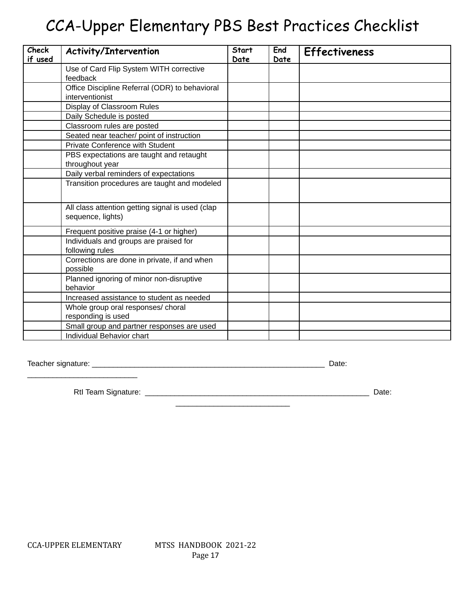# CCA-Upper Elementary PBS Best Practices Checklist

| <b>Check</b><br>if used | Activity/Intervention                                                 | <b>Start</b><br>Date | End<br>Date | <b>Effectiveness</b> |
|-------------------------|-----------------------------------------------------------------------|----------------------|-------------|----------------------|
|                         | Use of Card Flip System WITH corrective                               |                      |             |                      |
|                         | feedback                                                              |                      |             |                      |
|                         | Office Discipline Referral (ODR) to behavioral                        |                      |             |                      |
|                         | interventionist                                                       |                      |             |                      |
|                         | Display of Classroom Rules                                            |                      |             |                      |
|                         | Daily Schedule is posted                                              |                      |             |                      |
|                         | Classroom rules are posted                                            |                      |             |                      |
|                         | Seated near teacher/ point of instruction                             |                      |             |                      |
|                         | <b>Private Conference with Student</b>                                |                      |             |                      |
|                         | PBS expectations are taught and retaught                              |                      |             |                      |
|                         | throughout year                                                       |                      |             |                      |
|                         | Daily verbal reminders of expectations                                |                      |             |                      |
|                         | Transition procedures are taught and modeled                          |                      |             |                      |
|                         | All class attention getting signal is used (clap<br>sequence, lights) |                      |             |                      |
|                         | Frequent positive praise (4-1 or higher)                              |                      |             |                      |
|                         | Individuals and groups are praised for<br>following rules             |                      |             |                      |
|                         | Corrections are done in private, if and when<br>possible              |                      |             |                      |
|                         | Planned ignoring of minor non-disruptive<br>behavior                  |                      |             |                      |
|                         | Increased assistance to student as needed                             |                      |             |                      |
|                         | Whole group oral responses/ choral                                    |                      |             |                      |
|                         | responding is used                                                    |                      |             |                      |
|                         | Small group and partner responses are used                            |                      |             |                      |
|                         | Individual Behavior chart                                             |                      |             |                      |

Teacher signature: \_\_\_\_\_\_\_\_\_\_\_\_\_\_\_\_\_\_\_\_\_\_\_\_\_\_\_\_\_\_\_\_\_\_\_\_\_\_\_\_\_\_\_\_\_\_\_\_\_\_\_\_\_\_\_ Date:

\_\_\_\_\_\_\_\_\_\_\_\_\_\_\_\_\_\_\_\_\_\_\_\_\_\_

RtI Team Signature: \_\_\_\_\_\_\_\_\_\_\_\_\_\_\_\_\_\_\_\_\_\_\_\_\_\_\_\_\_\_\_\_\_\_\_\_\_\_\_\_\_\_\_\_\_\_\_\_\_\_\_\_\_ Date: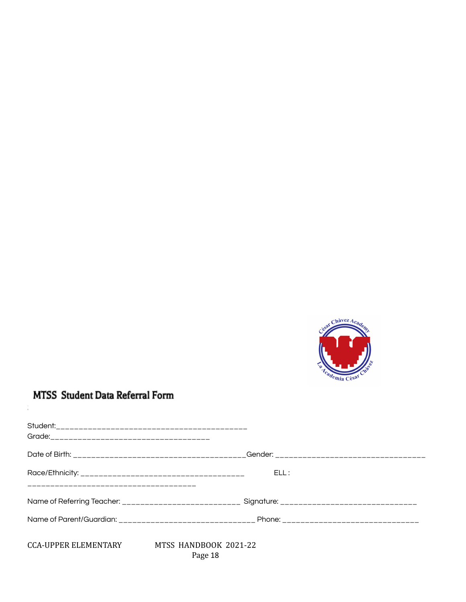

## **MTSS** Student Data Referral Form

Step 1- Student Information

|                                        | ELL:                             |  |
|----------------------------------------|----------------------------------|--|
| ______________________________________ |                                  |  |
|                                        |                                  |  |
|                                        |                                  |  |
| CCA-UPPER ELEMENTARY                   | MTSS HANDBOOK 2021-22<br>Page 18 |  |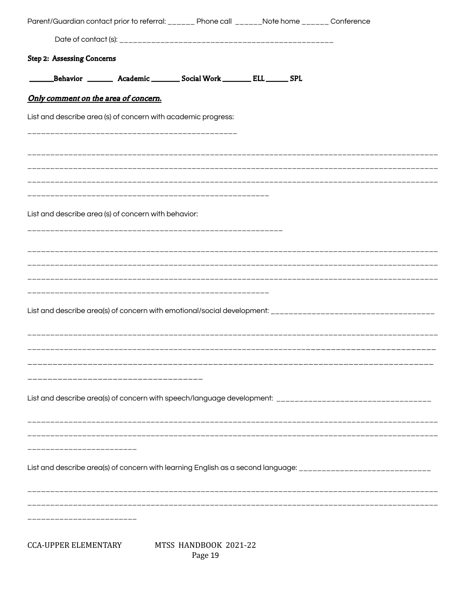| Parent/Guardian contact prior to referral: ______ Phone call ______Note home ______ Conference |                                                                           |  |                                                                                                               |
|------------------------------------------------------------------------------------------------|---------------------------------------------------------------------------|--|---------------------------------------------------------------------------------------------------------------|
|                                                                                                |                                                                           |  |                                                                                                               |
| <b>Step 2: Assessing Concerns</b>                                                              |                                                                           |  |                                                                                                               |
|                                                                                                | _Behavior _________ Academic ________ Social Work ________ ELL ______ SPL |  |                                                                                                               |
| Only comment on the area of concern.                                                           |                                                                           |  |                                                                                                               |
| List and describe area (s) of concern with academic progress:                                  |                                                                           |  |                                                                                                               |
|                                                                                                |                                                                           |  |                                                                                                               |
|                                                                                                |                                                                           |  |                                                                                                               |
|                                                                                                |                                                                           |  |                                                                                                               |
|                                                                                                |                                                                           |  |                                                                                                               |
| List and describe area (s) of concern with behavior:                                           |                                                                           |  |                                                                                                               |
|                                                                                                |                                                                           |  |                                                                                                               |
|                                                                                                |                                                                           |  |                                                                                                               |
|                                                                                                |                                                                           |  |                                                                                                               |
|                                                                                                |                                                                           |  |                                                                                                               |
|                                                                                                |                                                                           |  |                                                                                                               |
|                                                                                                |                                                                           |  |                                                                                                               |
|                                                                                                |                                                                           |  |                                                                                                               |
|                                                                                                |                                                                           |  |                                                                                                               |
|                                                                                                |                                                                           |  |                                                                                                               |
|                                                                                                |                                                                           |  |                                                                                                               |
|                                                                                                |                                                                           |  |                                                                                                               |
|                                                                                                |                                                                           |  |                                                                                                               |
| _________________                                                                              |                                                                           |  |                                                                                                               |
|                                                                                                |                                                                           |  | List and describe area(s) of concern with learning English as a second language: ____________________________ |
|                                                                                                |                                                                           |  |                                                                                                               |
|                                                                                                |                                                                           |  |                                                                                                               |
|                                                                                                |                                                                           |  |                                                                                                               |
| <b>CCA-UPPER ELEMENTARY</b>                                                                    | MTSS HANDBOOK 2021-22<br>Page 19                                          |  |                                                                                                               |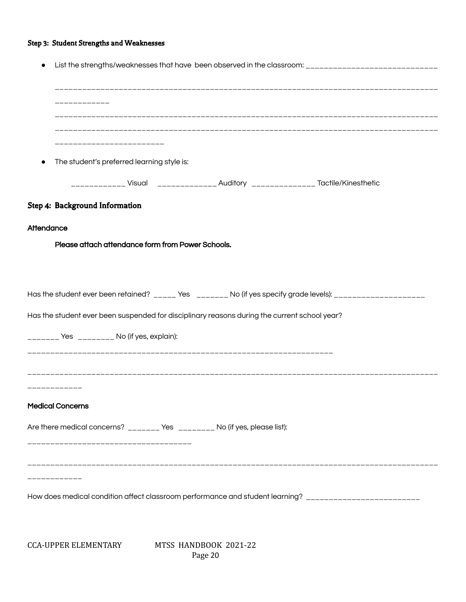#### Step 3: Student Strengths and Weaknesses

| List the strengths/weaknesses that have been observed in the classroom: ___________________________       |
|-----------------------------------------------------------------------------------------------------------|
|                                                                                                           |
|                                                                                                           |
|                                                                                                           |
|                                                                                                           |
| ------------------------                                                                                  |
| The student's preferred learning style is:                                                                |
| ____________ Visual _____________ Auditory _____________ Tactile/Kinesthetic                              |
| Step 4: Background Information                                                                            |
| Attendance                                                                                                |
| Please attach attendance form from Power Schools.                                                         |
|                                                                                                           |
|                                                                                                           |
| Has the student ever been retained? _____ Yes _______ No (if yes specify grade levels): _________________ |
| Has the student ever been suspended for disciplinary reasons during the current school year?              |
| _______ Yes ________ No (if yes, explain):                                                                |
|                                                                                                           |
|                                                                                                           |
|                                                                                                           |
|                                                                                                           |
| <b>Medical Concerns</b>                                                                                   |
|                                                                                                           |
| Are there medical concerns? _______ Yes ________ No (if yes, please list):                                |
| ___________________                                                                                       |
|                                                                                                           |
|                                                                                                           |
| How does medical condition affect classroom performance and student learning? __________________________  |
|                                                                                                           |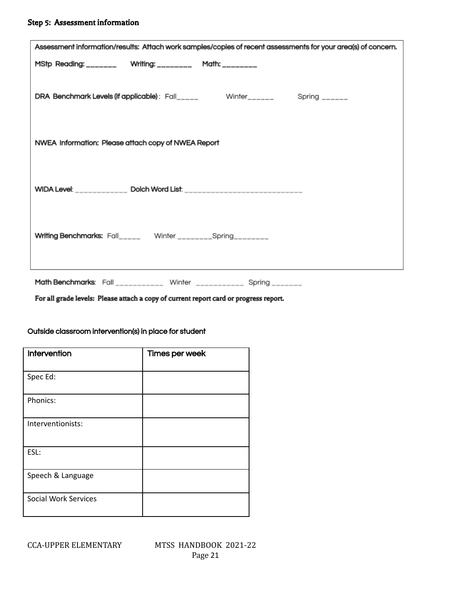#### Step 5: Assessment information

| Assessment information/results: Attach work samples/copies of recent assessments for your area(s) of concern. |
|---------------------------------------------------------------------------------------------------------------|
| MStp Reading: _______ Writing: ________ Math: _______                                                         |
| DRA Benchmark Levels (if applicable): Fall_____ Winter______ Spring _____                                     |
| NWEA Information: Please attach copy of NWEA Report                                                           |
| WIDA Level: ____________ Dolch Word List: ____________________________                                        |
| Writing Benchmarks: Fall_____ Winter _______Spring_______                                                     |
|                                                                                                               |

Math Benchmarks: Fall \_\_\_\_\_\_\_\_\_\_\_ Winter \_\_\_\_\_\_\_\_\_\_\_ Spring \_\_\_\_\_\_\_

For all grade levels: Please attach a copy of current report card or progress report.

| Intervention                | Times per week |
|-----------------------------|----------------|
| Spec Ed:                    |                |
| Phonics:                    |                |
| Interventionists:           |                |
| ESL:                        |                |
| Speech & Language           |                |
| <b>Social Work Services</b> |                |

Outside classroom intervention(s) in place for student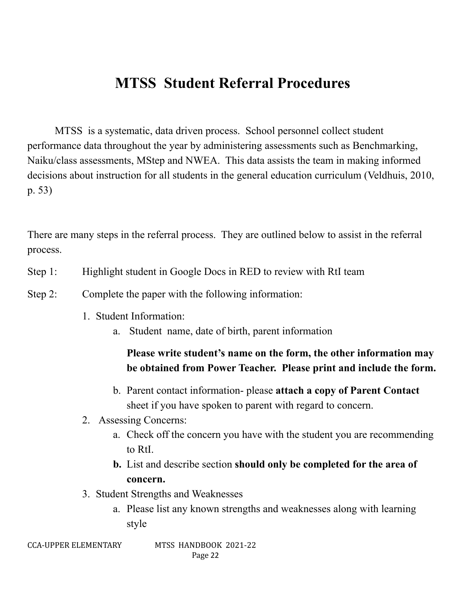## **MTSS Student Referral Procedures**

MTSS is a systematic, data driven process. School personnel collect student performance data throughout the year by administering assessments such as Benchmarking, Naiku/class assessments, MStep and NWEA. This data assists the team in making informed decisions about instruction for all students in the general education curriculum (Veldhuis, 2010, p. 53)

There are many steps in the referral process. They are outlined below to assist in the referral process.

- Step 1: Highlight student in Google Docs in RED to review with RtI team
- Step 2: Complete the paper with the following information:
	- 1. Student Information:
		- a. Student name, date of birth, parent information

## **Please write student's name on the form, the other information may be obtained from Power Teacher. Please print and include the form.**

- b. Parent contact information- please **attach a copy of Parent Contact** sheet if you have spoken to parent with regard to concern.
- 2. Assessing Concerns:
	- a. Check off the concern you have with the student you are recommending to RtI.
	- **b.** List and describe section **should only be completed for the area of concern.**
- 3. Student Strengths and Weaknesses
	- a. Please list any known strengths and weaknesses along with learning style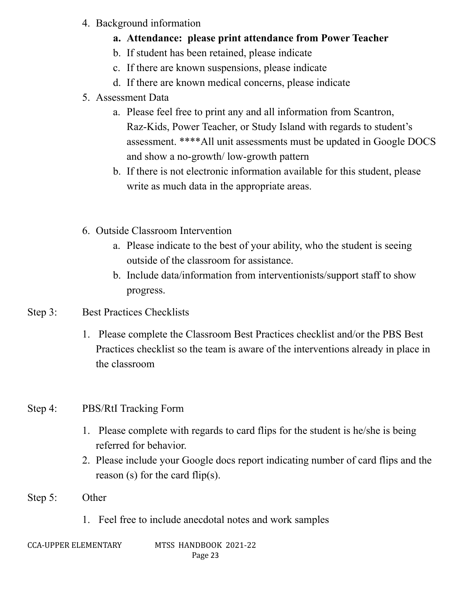- 4. Background information
	- **a. Attendance: please print attendance from Power Teacher**
	- b. If student has been retained, please indicate
	- c. If there are known suspensions, please indicate
	- d. If there are known medical concerns, please indicate
- 5. Assessment Data
	- a. Please feel free to print any and all information from Scantron, Raz-Kids, Power Teacher, or Study Island with regards to student's assessment. \*\*\*\*All unit assessments must be updated in Google DOCS and show a no-growth/ low-growth pattern
	- b. If there is not electronic information available for this student, please write as much data in the appropriate areas.
- 6. Outside Classroom Intervention
	- a. Please indicate to the best of your ability, who the student is seeing outside of the classroom for assistance.
	- b. Include data/information from interventionists/support staff to show progress.
- Step 3: Best Practices Checklists
	- 1. Please complete the Classroom Best Practices checklist and/or the PBS Best Practices checklist so the team is aware of the interventions already in place in the classroom

## Step 4: PBS/RtI Tracking Form

- 1. Please complete with regards to card flips for the student is he/she is being referred for behavior.
- 2. Please include your Google docs report indicating number of card flips and the reason (s) for the card flip(s).
- Step 5: Other
	- 1. Feel free to include anecdotal notes and work samples
-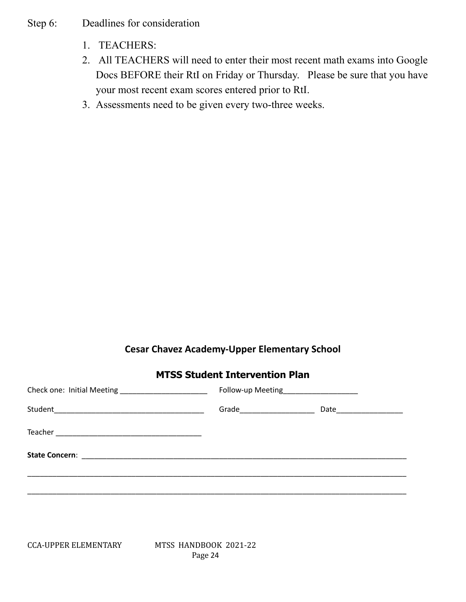- Step 6: Deadlines for consideration
	- 1. TEACHERS:
	- 2. All TEACHERS will need to enter their most recent math exams into Google Docs BEFORE their RtI on Friday or Thursday. Please be sure that you have your most recent exam scores entered prior to RtI.
	- 3. Assessments need to be given every two-three weeks.

## **Cesar Chavez Academy-Upper Elementary School**

## **MTSS Student Intervention Plan**

| Follow-up Meeting______________________ |  |
|-----------------------------------------|--|
|                                         |  |
|                                         |  |
|                                         |  |
|                                         |  |
|                                         |  |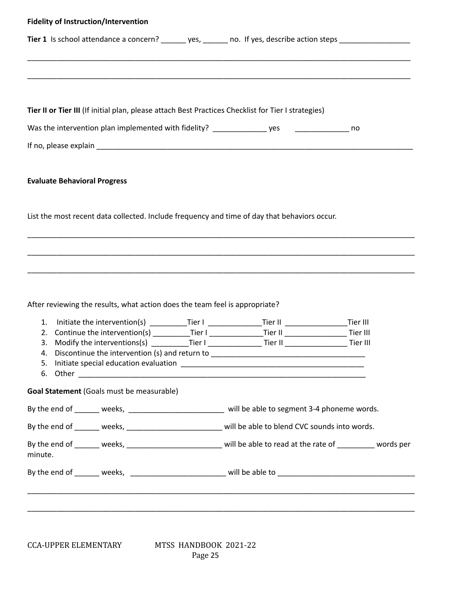| <b>Fidelity of Instruction/Intervention</b>                                                                                                              |  |  |
|----------------------------------------------------------------------------------------------------------------------------------------------------------|--|--|
| Tier 1 Is school attendance a concern? _______ yes, ______ no. If yes, describe action steps ________________                                            |  |  |
|                                                                                                                                                          |  |  |
|                                                                                                                                                          |  |  |
| Tier II or Tier III (If initial plan, please attach Best Practices Checklist for Tier I strategies)                                                      |  |  |
|                                                                                                                                                          |  |  |
|                                                                                                                                                          |  |  |
|                                                                                                                                                          |  |  |
| <b>Evaluate Behavioral Progress</b>                                                                                                                      |  |  |
|                                                                                                                                                          |  |  |
| List the most recent data collected. Include frequency and time of day that behaviors occur.                                                             |  |  |
|                                                                                                                                                          |  |  |
|                                                                                                                                                          |  |  |
|                                                                                                                                                          |  |  |
|                                                                                                                                                          |  |  |
| After reviewing the results, what action does the team feel is appropriate?                                                                              |  |  |
| 1. Initiate the intervention(s) ____________Tier I _________________Tier II _______________________Tier III                                              |  |  |
| 2. Continue the intervention(s) __________Tier I _______________Tier II ___________________Tier III                                                      |  |  |
| Modify the interventions(s) __________Tier I _______________Tier II _________________Tier III<br>3.<br>4. Discontinue the intervention (s) and return to |  |  |
|                                                                                                                                                          |  |  |
|                                                                                                                                                          |  |  |
| Goal Statement (Goals must be measurable)                                                                                                                |  |  |
| By the end of ______ weeks, ________________________ will be able to segment 3-4 phoneme words.                                                          |  |  |
| By the end of ______ weeks, _______________________ will be able to blend CVC sounds into words.                                                         |  |  |
| By the end of ______ weeks, _________________________ will be able to read at the rate of _________ words per<br>minute.                                 |  |  |
|                                                                                                                                                          |  |  |
|                                                                                                                                                          |  |  |
|                                                                                                                                                          |  |  |
|                                                                                                                                                          |  |  |
|                                                                                                                                                          |  |  |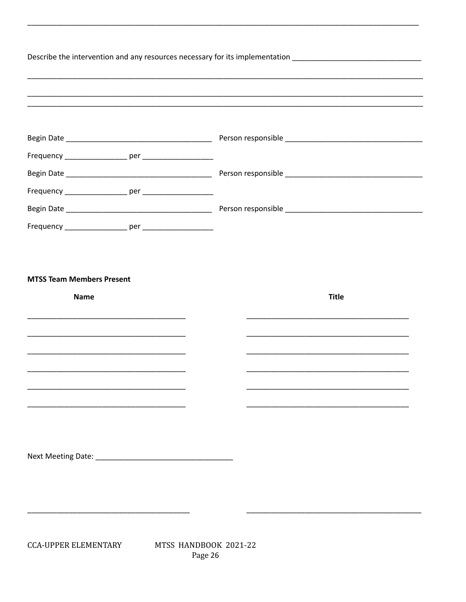| the control of the control of the control of the control of the control of the control of the control of the control of the control of the control of the control of the control of the control of the control of the control |
|-------------------------------------------------------------------------------------------------------------------------------------------------------------------------------------------------------------------------------|
|                                                                                                                                                                                                                               |
|                                                                                                                                                                                                                               |
|                                                                                                                                                                                                                               |
|                                                                                                                                                                                                                               |
|                                                                                                                                                                                                                               |
|                                                                                                                                                                                                                               |
|                                                                                                                                                                                                                               |
|                                                                                                                                                                                                                               |
|                                                                                                                                                                                                                               |
|                                                                                                                                                                                                                               |

Page 26